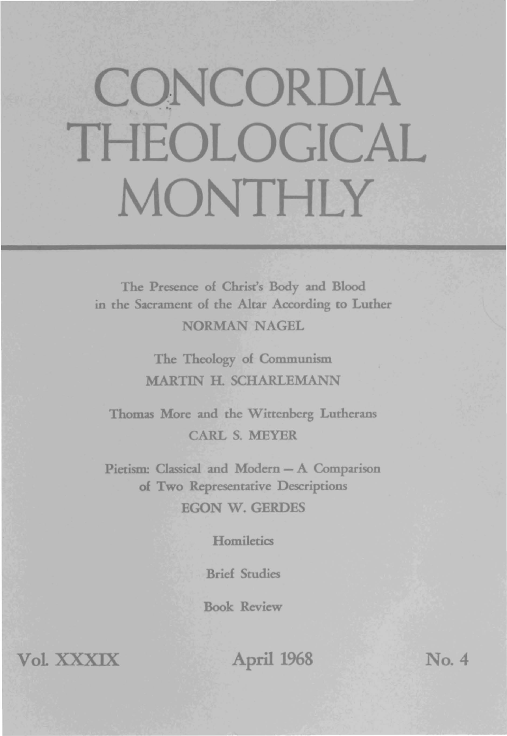## **CONCORDIA** THEOLOGICAL **MONTHLY**

The Presence of Christ's Body and Blood in the Sacrament of rhe Altar According to Luther NORMAN NAGEL

> The Theology of Communism MARTIN H. SCHARLEMANN

Thomas More and the Wittenberg Lutherans CARL S. MEYER

Pietism: Classical and Modern - A Comparison of Two Representative Descriptions EGON W. GERDES

**Homiletics** 

Brief Studies

Book Review

VolXXXIX April 1968 No.4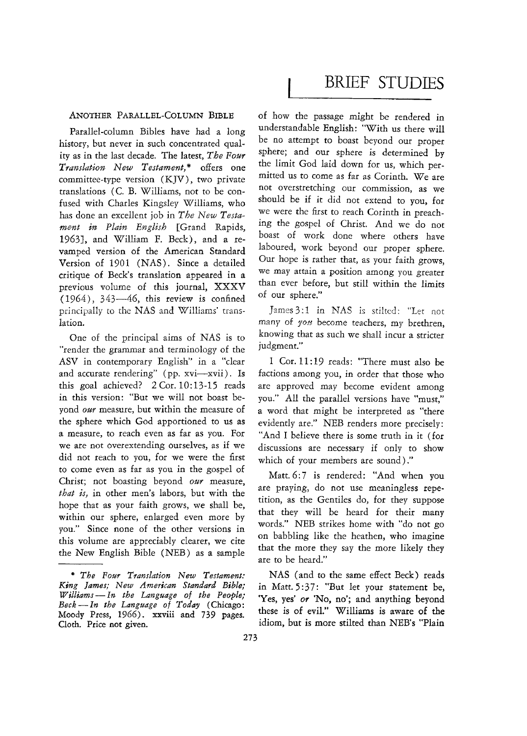## ANOTHER PARALLEL-COLUMN BIBLE

Parallel-column Bibles have had a long history, but never in such concentrated quality as in the last decade. The latest, *The Four Translation New Testament,"* offers one committee-type version (KJV), two private translations (c. B. Williams, not to be confused with Charles Kingsley Williams, who has done an excellent job in *The New Testament in Plain English* [Grand Rapids, 1963J, and William F. Beck), and a revamped version of the American Standard Version of 1901 (NAS). Since a detailed critique of Beck's translation appeared in a previous volume of this journal, XXXV  $(1964)$ , 343-46, this review is confined principally to the NAS and Williams' translation.

One of the principal aims of NAS is to "render the grammar and terminology of the ASV in contemporary English" in a "clear and accurate rendering" (pp. xvi-xvii). Is this goal achieved? 2 Cor. 10:13-15 reads in this version: "But we will not boast beyond *our* measure, but within the measure of the sphere which God apportioned to us as a measure, to reach even as far as you. For we are not overextending ourselves, as if we did not reach to you, for we were the first to come even as far as you in the gospel of Christ; not boasting beyond *our* measure, *that is,* in other men's labors, but with the hope that as your faith grows, we shall be, within our sphere, enlarged even more by you." Since none of the other versions in *this* volume are appreciably clearer, we cite the New English Bible (NEB) as a sample

## BRIEF STUDIES

of how the passage might be rendered in understandable English: "With us there will be no attempt to boast beyond our proper sphere; and our sphere *is* determined by the limit God laid down for us, which permitted us to come as far as Corinth. We are not overstretching our commission, as we should be if *it* did not extend to you, for we were the first to reach Corinth in preaching the gospel of Christ. And we do not boast of work done where others have laboured, work beyond our proper sphere. Our hope *is* rather that, as your faith grows, we may attain a position among you greater than ever before, but still within the limits of our sphere."

James 3:1 in NAS is stilted: "Let not many of *you* become teachers, my brethren, knowing that as such we shall incur a stricter judgment."

1 Cor. 11: 19 reads: "There must also be factions among you, in order that those who are approved may become evident among you." All the parallel versions have "must," a word that might be interpreted as "there evidently are." NEB renders more precisely: "And I believe there is some truth in it (for discussions are necessary if only to show which of your members are sound)."

Matt.6:7 is rendered: "And when you are praying, do not use meaningless repetition, as the Gentiles do, for they suppose that they will be heard for their many words." NEB strikes home with "do not go on babbling like the heathen, who imagine that the more they say the more likely they are to be heard."

NAS (and to the same effect Beck) reads in Matt. 5:37: "But let your statement be, 'Yes, yes' or 'No, no'; and anything beyond these is of evil." Williams is aware of the idiom, but is more stilted than NEB's "Plain

*<sup>&</sup>quot; The Four Translation New Testament: King lames; New American Standard Bible; Williams-In the Language 0/ the People; Beck-In the Language of Today* (Chicago: Moody Press, 1966). xxviii and 739 pages. Cloth. Price not given.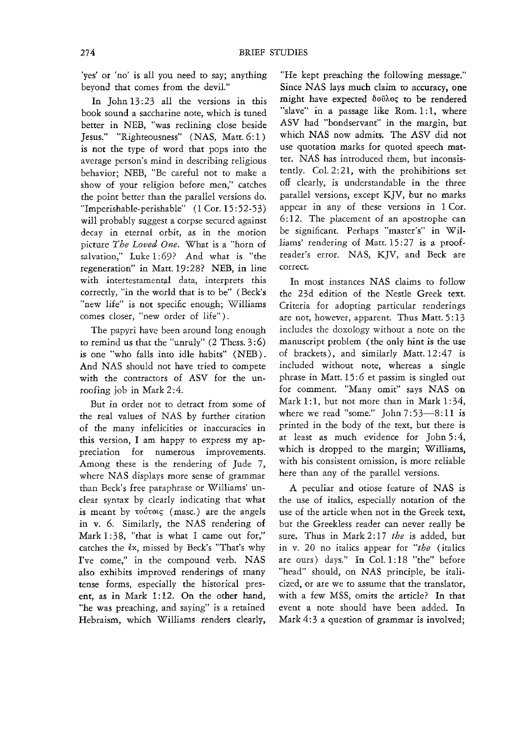'yes' or 'no' is all you need to say; anything beyond that comes from the devil."

In John 13:23 all the versions in this book sound a saccharine note, which is tuned better in NEB, "was reclining close beside Jesus." "Righteousness" (NAS, Matt. 6:1) is not the type of word that pops into the average person's mind in describing religious behavior; NEB, "Be careful not to make a show of your religion before men," catches the point better than the parallel versions do. "Imperishable-perishable" (1 Cor. 15:52-53) will probably suggest a corpse secured against decay in eternal orbit, as in the motion picture The Loved One. What is a "horn of salvation," Luke 1:69? And what is "the regeneration" in Matt.19:28? NEB, in line with intertestamental data, interprets this correctly, "in the world that is to be" (Beck's "new life" is not specific enough; Williams comes closer, 'new order of life").

The papyri have been around long enough to remind us that the "unruly"  $(2$  Thess. 3:6) is one "who falls into idle habits" (NEB). And NAS should not have tried to compete with the contractors of ASV for the unroofing job in Mark 2:4.

But in order not to detract from some of the real values of NAS by further citation of the many infelicities or inaccuracies in this version, I am happy to express my appreciation for numerous improvements. Among these is the rendering of Jude 7, where NAS displays more sense of grammar than Beck's free paraphrase or Williams' unclear syntax by clearly indicating that what is meant by τούτοις (masc.) are the angels in v. 6. Similarly, the NAS rendering of Mark 1:38, "that is what I came out for," catches the  $ix$ , missed by Beck's "That's why I've come," in the compound verb. NAS also exhibits improved renderings of many tense forms, especially the historical present, as in Mark 1: 12. On the other hand, "he was preaching, and saying" is a retained Hebraism, which Williams renders clearly,

"He kept preaching the following message." Since NAS lays much claim to accuracy, one might have expected  $\delta$ ov $\lambda$ os to be rendered "slave" in a passage like Rom. 1:1, where ASV had "bondservant" in the margin, but which NAS now admits. The ASV did not use quotation marks for quoted speech matter. NAS has introduced them, but inconsistently. Col. 2:21, with the prohibitions set off clearly, is understandable in the three parallel versions, except KJV, but no marks appear in any of these versions in 1 Cor. 6: 12. The placement of an apostrophe can be significant. Perhaps "master's" in Williams' rendering of Matt. 15:27 is a proofreader's error. NAS, KJV, and Beck are correct.

In most instances NAS claims to follow the 23d edition of the Nestle Greek text. Criteria for adopting particular renderings are not, however, apparent. Thus Matt. 5: 13 includes the doxology without a note on the manuscript problem (the only hint is the use of brackets), and similarly Matt. 12:47 is included without note, whereas a single phrase in Matt. 15:6 et passim is singled out for comment. "Many omit" says NAS on Mark 1:1, but not more than in Mark  $1:34$ , where we read "some." John  $7:53-8:11$  is printed in the body of the text, but there is at least as much evidence for John 5:4, which is dropped to the margin; Williams, with his consistent omission, is more reliable here than any of the parallel versions.

A peculiar and otiose feature of NAS is the use of italics, especially notation of the use of the article when not in the Greek text, but the Greekless reader can never really be sure. Thus in Mark 2: 17 *the* is added, but in v. 20 no italics appear for *"the* (italics are ours) days." In Col. 1:18 "the" before "head" should, on NAS principle, be italicized, or are we to assume that the translator, with a few MSS, omits the article? In that event a note should have been added. In Mark 4:3 a question of grammar is involved;